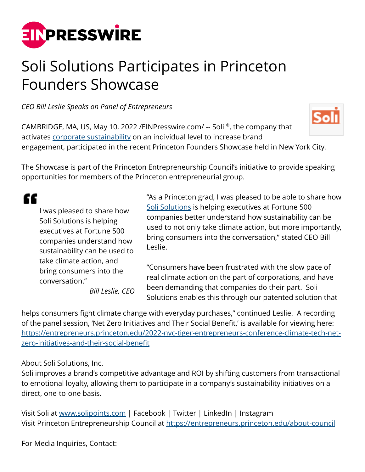

## Soli Solutions Participates in Princeton Founders Showcase

*CEO Bill Leslie Speaks on Panel of Entrepreneurs*

CAMBRIDGE, MA, US, May 10, 2022 /[EINPresswire.com/](http://www.einpresswire.com) -- Soli ®, the company that activates [corporate sustainability](http://www.solipoints.com) on an individual level to increase brand engagement, participated in the recent Princeton Founders Showcase held in New York City.



££

I was pleased to share how Soli Solutions is helping executives at Fortune 500 companies understand how sustainability can be used to take climate action, and bring consumers into the conversation." *Bill Leslie, CEO* "As a Princeton grad, I was pleased to be able to share how [Soli Solutions](http://www.solipoints.com) is helping executives at Fortune 500 companies better understand how sustainability can be used to not only take climate action, but more importantly, bring consumers into the conversation," stated CEO Bill Leslie.

"Consumers have been frustrated with the slow pace of real climate action on the part of corporations, and have been demanding that companies do their part. Soli Solutions enables this through our patented solution that

helps consumers fight climate change with everyday purchases," continued Leslie. A recording of the panel session, 'Net Zero Initiatives and Their Social Benefit,' is available for viewing here: [https://entrepreneurs.princeton.edu/2022-nyc-tiger-entrepreneurs-conference-climate-tech-net](https://entrepreneurs.princeton.edu/2022-nyc-tiger-entrepreneurs-conference-climate-tech-net-zero-initiatives-and-their-social-benefit)[zero-initiatives-and-their-social-benefit](https://entrepreneurs.princeton.edu/2022-nyc-tiger-entrepreneurs-conference-climate-tech-net-zero-initiatives-and-their-social-benefit)

About Soli Solutions, Inc.

Soli improves a brand's competitive advantage and ROI by shifting customers from transactional to emotional loyalty, allowing them to participate in a company's sustainability initiatives on a direct, one-to-one basis.

Visit Soli at [www.solipoints.com](http://www.solipoints.com) | Facebook | Twitter | LinkedIn | Instagram Visit Princeton Entrepreneurship Council at <https://entrepreneurs.princeton.edu/about-council>

For Media Inquiries, Contact: